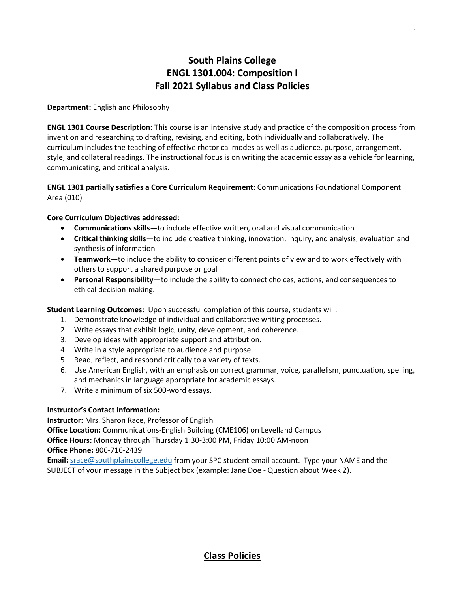# **South Plains College ENGL 1301.004: Composition I Fall 2021 Syllabus and Class Policies**

#### **Department:** English and Philosophy

**ENGL 1301 Course Description:** This course is an intensive study and practice of the composition process from invention and researching to drafting, revising, and editing, both individually and collaboratively. The curriculum includes the teaching of effective rhetorical modes as well as audience, purpose, arrangement, style, and collateral readings. The instructional focus is on writing the academic essay as a vehicle for learning, communicating, and critical analysis.

#### **ENGL 1301 partially satisfies a Core Curriculum Requirement**: Communications Foundational Component Area (010)

#### **Core Curriculum Objectives addressed:**

- **Communications skills**—to include effective written, oral and visual communication
- **Critical thinking skills**—to include creative thinking, innovation, inquiry, and analysis, evaluation and synthesis of information
- **Teamwork**—to include the ability to consider different points of view and to work effectively with others to support a shared purpose or goal
- **Personal Responsibility**—to include the ability to connect choices, actions, and consequences to ethical decision-making.

**Student Learning Outcomes:** Upon successful completion of this course, students will:

- 1. Demonstrate knowledge of individual and collaborative writing processes.
- 2. Write essays that exhibit logic, unity, development, and coherence.
- 3. Develop ideas with appropriate support and attribution.
- 4. Write in a style appropriate to audience and purpose.
- 5. Read, reflect, and respond critically to a variety of texts.
- 6. Use American English, with an emphasis on correct grammar, voice, parallelism, punctuation, spelling, and mechanics in language appropriate for academic essays.
- 7. Write a minimum of six 500-word essays.

#### **Instructor's Contact Information:**

**Instructor:** Mrs. Sharon Race, Professor of English

**Office Location:** Communications-English Building (CME106) on Levelland Campus

**Office Hours:** Monday through Thursday 1:30-3:00 PM, Friday 10:00 AM-noon

**Office Phone:** 806-716-2439

**Email:** [srace@southplainscollege.edu](mailto:srace@southplainscollege.edu) from your SPC student email account. Type your NAME and the SUBJECT of your message in the Subject box (example: Jane Doe - Question about Week 2).

# **Class Policies**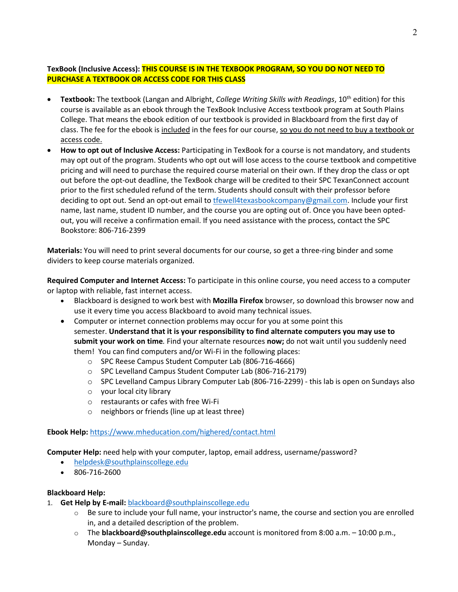# **TexBook (Inclusive Access): THIS COURSE IS IN THE TEXBOOK PROGRAM, SO YOU DO NOT NEED TO PURCHASE A TEXTBOOK OR ACCESS CODE FOR THIS CLASS**

- **Textbook:** The textbook (Langan and Albright, *College Writing Skills with Readings*, 10th edition) for this course is available as an ebook through the TexBook Inclusive Access textbook program at South Plains College. That means the ebook edition of our textbook is provided in Blackboard from the first day of class. The fee for the ebook is included in the fees for our course, so you do not need to buy a textbook or access code.
- **How to opt out of Inclusive Access:** Participating in TexBook for a course is not mandatory, and students may opt out of the program. Students who opt out will lose access to the course textbook and competitive pricing and will need to purchase the required course material on their own. If they drop the class or opt out before the opt-out deadline, the TexBook charge will be credited to their SPC TexanConnect account prior to the first scheduled refund of the term. Students should consult with their professor before deciding to opt out. Send an opt-out email to the well 4 texas bookcompany@gmail.com. Include your first name, last name, student ID number, and the course you are opting out of. Once you have been optedout, you will receive a confirmation email. If you need assistance with the process, contact the SPC Bookstore: 806-716-2399

**Materials:** You will need to print several documents for our course, so get a three-ring binder and some dividers to keep course materials organized.

**Required Computer and Internet Access:** To participate in this online course, you need access to a computer or laptop with reliable, fast internet access.

- Blackboard is designed to work best with **Mozilla Firefox** browser, so download this browser now and use it every time you access Blackboard to avoid many technical issues.
- Computer or internet connection problems may occur for you at some point this semester. **Understand that it is your responsibility to find alternate computers you may use to submit your work on time***.* Find your alternate resources **now;** do not wait until you suddenly need them! You can find computers and/or Wi-Fi in the following places:
	- o SPC Reese Campus Student Computer Lab (806-716-4666)
	- o SPC Levelland Campus Student Computer Lab (806-716-2179)
	- o SPC Levelland Campus Library Computer Lab (806-716-2299) this lab is open on Sundays also
	- o your local city library
	- o restaurants or cafes with free Wi-Fi
	- o neighbors or friends (line up at least three)

#### **Ebook Help:** <https://www.mheducation.com/highered/contact.html>

**Computer Help:** need help with your computer, laptop, email address, username/password?

- [helpdesk@southplainscollege.edu](mailto:helpdesk@southplainscollege.edu)
- 806-716-2600

#### **Blackboard Help:**

- 1. **Get Help by E-mail:** [blackboard@southplainscollege.edu](mailto:blackboard@southplainscollege.edu)
	- $\circ$  Be sure to include your full name, your instructor's name, the course and section you are enrolled in, and a detailed description of the problem.
	- o The **blackboard@southplainscollege.edu** account is monitored from 8:00 a.m. 10:00 p.m., Monday – Sunday.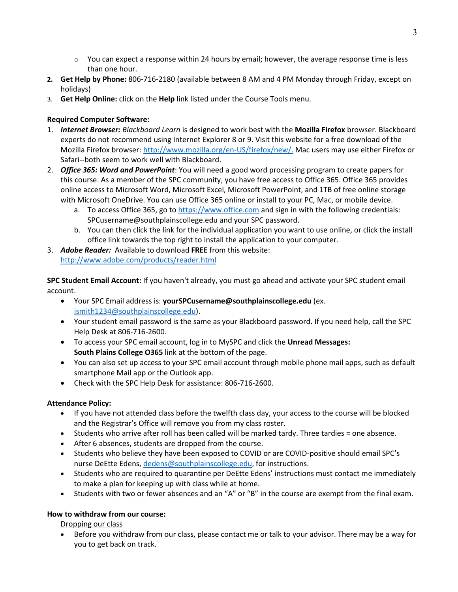- $\circ$  You can expect a response within 24 hours by email; however, the average response time is less than one hour.
- **2. Get Help by Phone:** 806-716-2180 (available between 8 AM and 4 PM Monday through Friday, except on holidays)
- 3. **Get Help Online:** click on the **Help** link listed under the Course Tools menu.

# **Required Computer Software:**

- 1. *Internet Browser: Blackboard Learn* is designed to work best with the **Mozilla Firefox** browser. Blackboard experts do not recommend using Internet Explorer 8 or 9. Visit this website for a free download of the Mozilla Firefox browser: [http://www.mozilla.org/en-US/firefox/new/.](http://www.mozilla.org/en-US/firefox/new/) Mac users may use either Firefox or Safari--both seem to work well with Blackboard.
- 2. *Office 365: Word and PowerPoint*: You will need a good word processing program to create papers for this course. As a member of the SPC community, you have free access to Office 365. Office 365 provides online access to Microsoft Word, Microsoft Excel, Microsoft PowerPoint, and 1TB of free online storage with Microsoft OneDrive. You can use Office 365 online or install to your PC, Mac, or mobile device.
	- a. To access Office 365, go to [https://www.office.com](https://www.office.com/) and sign in with the following credentials: SPCusername@southplainscollege.edu and your SPC password.
	- b. You can then click the link for the individual application you want to use online, or click the install office link towards the top right to install the application to your computer.
- 3. *Adobe Reader:* Available to download **FREE** from this website: <http://www.adobe.com/products/reader.html>

**SPC Student Email Account:** If you haven't already, you must go ahead and activate your SPC student email account.

- Your SPC Email address is: **yourSPCusername@southplainscollege.edu** (ex. [jsmith1234@southplainscollege.edu\)](mailto:jsmith1234@southplainscollege.edu).
- Your student email password is the same as your Blackboard password. If you need help, call the SPC Help Desk at 806-716-2600.
- To access your SPC email account, log in to MySPC and click the **Unread Messages: South Plains College O365** link at the bottom of the page.
- You can also set up access to your SPC email account through mobile phone mail apps, such as default smartphone Mail app or the Outlook app.
- Check with the SPC Help Desk for assistance: 806-716-2600.

# **Attendance Policy:**

- If you have not attended class before the twelfth class day, your access to the course will be blocked and the Registrar's Office will remove you from my class roster.
- Students who arrive after roll has been called will be marked tardy. Three tardies = one absence.
- After 6 absences, students are dropped from the course.
- Students who believe they have been exposed to COVID or are COVID-positive should email SPC's nurse DeEtte Edens[, dedens@southplainscollege.edu,](mailto:dedens@southplainscollege.edu) for instructions.
- Students who are required to quarantine per DeEtte Edens' instructions must contact me immediately to make a plan for keeping up with class while at home.
- Students with two or fewer absences and an "A" or "B" in the course are exempt from the final exam.

# **How to withdraw from our course:**

Dropping our class

• Before you withdraw from our class, please contact me or talk to your advisor. There may be a way for you to get back on track.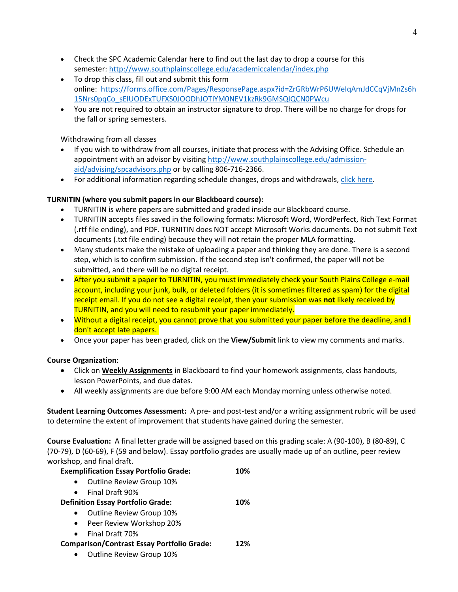- Check the SPC Academic Calendar here to find out the last day to drop a course for this semester: <http://www.southplainscollege.edu/academiccalendar/index.php>
- To drop this class, fill out and submit this form online: [https://forms.office.com/Pages/ResponsePage.aspx?id=ZrGRbWrP6UWeIqAmJdCCqVjMnZs6h](https://forms.office.com/Pages/ResponsePage.aspx?id=ZrGRbWrP6UWeIqAmJdCCqVjMnZs6h15Nrs0pqCo_sElUODExTUFXS0JOODhJOTlYM0NEV1kzRk9GMSQlQCN0PWcu) [15Nrs0pqCo\\_sElUODExTUFXS0JOODhJOTlYM0NEV1kzRk9GMSQlQCN0PWcu](https://forms.office.com/Pages/ResponsePage.aspx?id=ZrGRbWrP6UWeIqAmJdCCqVjMnZs6h15Nrs0pqCo_sElUODExTUFXS0JOODhJOTlYM0NEV1kzRk9GMSQlQCN0PWcu)
- You are not required to obtain an instructor signature to drop. There will be no charge for drops for the fall or spring semesters.

## Withdrawing from all classes

- If you wish to withdraw from all courses, initiate that process with the Advising Office. Schedule an appointment with an advisor by visiting [http://www.southplainscollege.edu/admission](http://www.southplainscollege.edu/admission-aid/advising/spcadvisors.php)[aid/advising/spcadvisors.php](http://www.southplainscollege.edu/admission-aid/advising/spcadvisors.php) or by calling 806-716-2366.
- For additional information regarding schedule changes, drops and withdrawals, [click here.](http://www.southplainscollege.edu/admission-aid/apply/schedulechanges.php)

### **TURNITIN (where you submit papers in our Blackboard course):**

- TURNITIN is where papers are submitted and graded inside our Blackboard course.
- TURNITIN accepts files saved in the following formats: Microsoft Word, WordPerfect, Rich Text Format (.rtf file ending), and PDF. TURNITIN does NOT accept Microsoft Works documents. Do not submit Text documents (.txt file ending) because they will not retain the proper MLA formatting.
- Many students make the mistake of uploading a paper and thinking they are done. There is a second step, which is to confirm submission. If the second step isn't confirmed, the paper will not be submitted, and there will be no digital receipt.
- After you submit a paper to TURNITIN, you must immediately check your South Plains College e-mail account, including your junk, bulk, or deleted folders (it is sometimes filtered as spam) for the digital receipt email. If you do not see a digital receipt, then your submission was **not** likely received by TURNITIN, and you will need to resubmit your paper immediately.
- Without a digital receipt, you cannot prove that you submitted your paper before the deadline, and I don't accept late papers.
- Once your paper has been graded, click on the **View/Submit** link to view my comments and marks.

#### **Course Organization**:

- Click on **Weekly Assignments** in Blackboard to find your homework assignments, class handouts, lesson PowerPoints, and due dates.
- All weekly assignments are due before 9:00 AM each Monday morning unless otherwise noted.

**Student Learning Outcomes Assessment:** A pre- and post-test and/or a writing assignment rubric will be used to determine the extent of improvement that students have gained during the semester.

**Course Evaluation:** A final letter grade will be assigned based on this grading scale: A (90-100), B (80-89), C (70-79), D (60-69), F (59 and below). Essay portfolio grades are usually made up of an outline, peer review workshop, and final draft.

| <b>Exemplification Essay Portfolio Grade:</b>     |                          | 10% |
|---------------------------------------------------|--------------------------|-----|
|                                                   | Outline Review Group 10% |     |
| $\bullet$                                         | Final Draft 90%          |     |
| <b>Definition Essay Portfolio Grade:</b>          |                          | 10% |
|                                                   | Outline Review Group 10% |     |
| $\bullet$                                         | Peer Review Workshop 20% |     |
| $\bullet$                                         | Final Draft 70%          |     |
| <b>Comparison/Contrast Essay Portfolio Grade:</b> |                          | 12% |
| $\bullet$                                         | Outline Review Group 10% |     |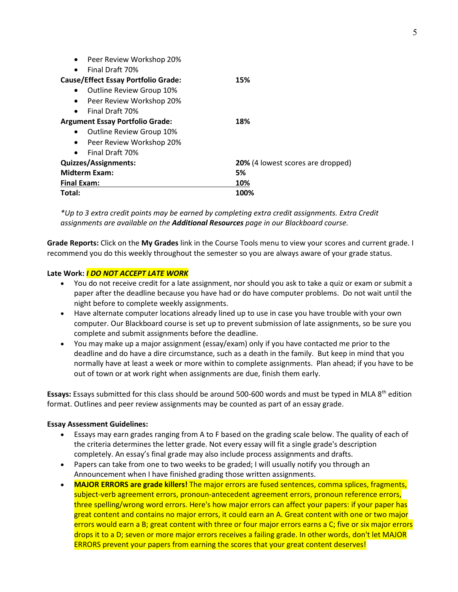| Peer Review Workshop 20%<br>$\bullet$<br>Final Draft 70% |                                   |
|----------------------------------------------------------|-----------------------------------|
| <b>Cause/Effect Essay Portfolio Grade:</b>               | 15%                               |
| Outline Review Group 10%<br>$\bullet$                    |                                   |
| Peer Review Workshop 20%<br>$\bullet$                    |                                   |
| Final Draft 70%<br>$\bullet$                             |                                   |
| <b>Argument Essay Portfolio Grade:</b>                   | 18%                               |
| Outline Review Group 10%<br>$\bullet$                    |                                   |
| Peer Review Workshop 20%<br>$\bullet$                    |                                   |
| Final Draft 70%<br>$\bullet$                             |                                   |
| <b>Quizzes/Assignments:</b>                              | 20% (4 lowest scores are dropped) |
| <b>Midterm Exam:</b>                                     | 5%                                |
| <b>Final Exam:</b>                                       | 10%                               |
| Total:                                                   | 100%                              |

*\*Up to 3 extra credit points may be earned by completing extra credit assignments. Extra Credit assignments are available on the Additional Resources page in our Blackboard course.*

**Grade Reports:** Click on the **My Grades** link in the Course Tools menu to view your scores and current grade. I recommend you do this weekly throughout the semester so you are always aware of your grade status.

#### **Late Work:** *I DO NOT ACCEPT LATE WORK*

- You do not receive credit for a late assignment, nor should you ask to take a quiz or exam or submit a paper after the deadline because you have had or do have computer problems. Do not wait until the night before to complete weekly assignments.
- Have alternate computer locations already lined up to use in case you have trouble with your own computer. Our Blackboard course is set up to prevent submission of late assignments, so be sure you complete and submit assignments before the deadline.
- You may make up a major assignment (essay/exam) only if you have contacted me prior to the deadline and do have a dire circumstance, such as a death in the family. But keep in mind that you normally have at least a week or more within to complete assignments. Plan ahead; if you have to be out of town or at work right when assignments are due, finish them early.

Essays: Essays submitted for this class should be around 500-600 words and must be typed in MLA 8<sup>th</sup> edition format. Outlines and peer review assignments may be counted as part of an essay grade.

#### **Essay Assessment Guidelines:**

- Essays may earn grades ranging from A to F based on the grading scale below. The quality of each of the criteria determines the letter grade. Not every essay will fit a single grade's description completely. An essay's final grade may also include process assignments and drafts.
- Papers can take from one to two weeks to be graded; I will usually notify you through an Announcement when I have finished grading those written assignments.
- **MAJOR ERRORS are grade killers!** The major errors are fused sentences, comma splices, fragments, subject-verb agreement errors, pronoun-antecedent agreement errors, pronoun reference errors, three spelling/wrong word errors. Here's how major errors can affect your papers: if your paper has great content and contains no major errors, it could earn an A. Great content with one or two major errors would earn a B; great content with three or four major errors earns a C; five or six major errors drops it to a D; seven or more major errors receives a failing grade. In other words, don't let MAJOR ERRORS prevent your papers from earning the scores that your great content deserves!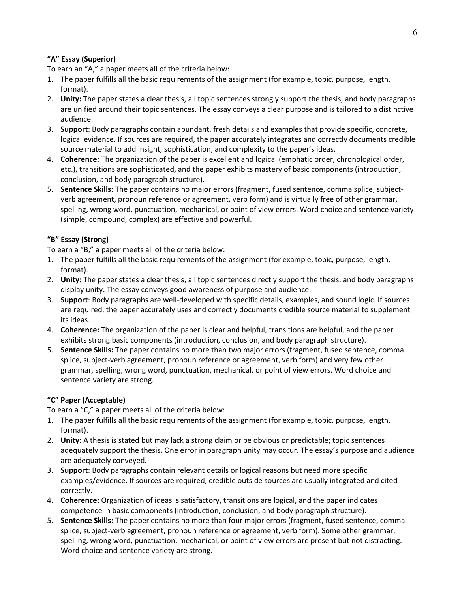# **"A" Essay (Superior)**

To earn an "A," a paper meets all of the criteria below:

- 1. The paper fulfills all the basic requirements of the assignment (for example, topic, purpose, length, format).
- 2. **Unity:** The paper states a clear thesis, all topic sentences strongly support the thesis, and body paragraphs are unified around their topic sentences. The essay conveys a clear purpose and is tailored to a distinctive audience.
- 3. **Support**: Body paragraphs contain abundant, fresh details and examples that provide specific, concrete, logical evidence. If sources are required, the paper accurately integrates and correctly documents credible source material to add insight, sophistication, and complexity to the paper's ideas.
- 4. **Coherence:** The organization of the paper is excellent and logical (emphatic order, chronological order, etc.), transitions are sophisticated, and the paper exhibits mastery of basic components (introduction, conclusion, and body paragraph structure).
- 5. **Sentence Skills:** The paper contains no major errors (fragment, fused sentence, comma splice, subjectverb agreement, pronoun reference or agreement, verb form) and is virtually free of other grammar, spelling, wrong word, punctuation, mechanical, or point of view errors. Word choice and sentence variety (simple, compound, complex) are effective and powerful.

# **"B" Essay (Strong)**

To earn a "B," a paper meets all of the criteria below:

- 1. The paper fulfills all the basic requirements of the assignment (for example, topic, purpose, length, format).
- 2. **Unity:** The paper states a clear thesis, all topic sentences directly support the thesis, and body paragraphs display unity. The essay conveys good awareness of purpose and audience.
- 3. **Support**: Body paragraphs are well-developed with specific details, examples, and sound logic. If sources are required, the paper accurately uses and correctly documents credible source material to supplement its ideas.
- 4. **Coherence:** The organization of the paper is clear and helpful, transitions are helpful, and the paper exhibits strong basic components (introduction, conclusion, and body paragraph structure).
- 5. **Sentence Skills:** The paper contains no more than two major errors (fragment, fused sentence, comma splice, subject-verb agreement, pronoun reference or agreement, verb form) and very few other grammar, spelling, wrong word, punctuation, mechanical, or point of view errors. Word choice and sentence variety are strong.

# **"C" Paper (Acceptable)**

To earn a "C," a paper meets all of the criteria below:

- 1. The paper fulfills all the basic requirements of the assignment (for example, topic, purpose, length, format).
- 2. **Unity:** A thesis is stated but may lack a strong claim or be obvious or predictable; topic sentences adequately support the thesis. One error in paragraph unity may occur. The essay's purpose and audience are adequately conveyed.
- 3. **Support**: Body paragraphs contain relevant details or logical reasons but need more specific examples/evidence. If sources are required, credible outside sources are usually integrated and cited correctly.
- 4. **Coherence:** Organization of ideas is satisfactory, transitions are logical, and the paper indicates competence in basic components (introduction, conclusion, and body paragraph structure).
- 5. **Sentence Skills:** The paper contains no more than four major errors (fragment, fused sentence, comma splice, subject-verb agreement, pronoun reference or agreement, verb form). Some other grammar, spelling, wrong word, punctuation, mechanical, or point of view errors are present but not distracting. Word choice and sentence variety are strong.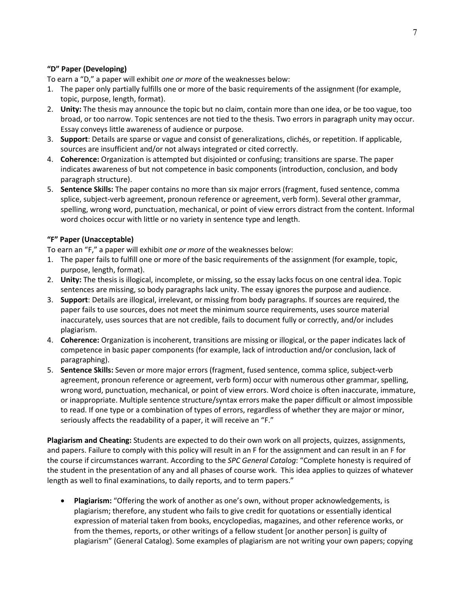## **"D" Paper (Developing)**

To earn a "D," a paper will exhibit *one or more* of the weaknesses below:

- 1. The paper only partially fulfills one or more of the basic requirements of the assignment (for example, topic, purpose, length, format).
- 2. **Unity:** The thesis may announce the topic but no claim, contain more than one idea, or be too vague, too broad, or too narrow. Topic sentences are not tied to the thesis. Two errors in paragraph unity may occur. Essay conveys little awareness of audience or purpose.
- 3. **Support**: Details are sparse or vague and consist of generalizations, clichés, or repetition. If applicable, sources are insufficient and/or not always integrated or cited correctly.
- 4. **Coherence:** Organization is attempted but disjointed or confusing; transitions are sparse. The paper indicates awareness of but not competence in basic components (introduction, conclusion, and body paragraph structure).
- 5. **Sentence Skills:** The paper contains no more than six major errors (fragment, fused sentence, comma splice, subject-verb agreement, pronoun reference or agreement, verb form). Several other grammar, spelling, wrong word, punctuation, mechanical, or point of view errors distract from the content. Informal word choices occur with little or no variety in sentence type and length.

### **"F" Paper (Unacceptable)**

To earn an "F," a paper will exhibit *one or more* of the weaknesses below:

- 1. The paper fails to fulfill one or more of the basic requirements of the assignment (for example, topic, purpose, length, format).
- 2. **Unity:** The thesis is illogical, incomplete, or missing, so the essay lacks focus on one central idea. Topic sentences are missing, so body paragraphs lack unity. The essay ignores the purpose and audience.
- 3. **Support**: Details are illogical, irrelevant, or missing from body paragraphs. If sources are required, the paper fails to use sources, does not meet the minimum source requirements, uses source material inaccurately, uses sources that are not credible, fails to document fully or correctly, and/or includes plagiarism.
- 4. **Coherence:** Organization is incoherent, transitions are missing or illogical, or the paper indicates lack of competence in basic paper components (for example, lack of introduction and/or conclusion, lack of paragraphing).
- 5. **Sentence Skills:** Seven or more major errors (fragment, fused sentence, comma splice, subject-verb agreement, pronoun reference or agreement, verb form) occur with numerous other grammar, spelling, wrong word, punctuation, mechanical, or point of view errors. Word choice is often inaccurate, immature, or inappropriate. Multiple sentence structure/syntax errors make the paper difficult or almost impossible to read. If one type or a combination of types of errors, regardless of whether they are major or minor, seriously affects the readability of a paper, it will receive an "F."

**Plagiarism and Cheating:** Students are expected to do their own work on all projects, quizzes, assignments, and papers. Failure to comply with this policy will result in an F for the assignment and can result in an F for the course if circumstances warrant. According to the *SPC General Catalog*: "Complete honesty is required of the student in the presentation of any and all phases of course work. This idea applies to quizzes of whatever length as well to final examinations, to daily reports, and to term papers."

• **Plagiarism:** "Offering the work of another as one's own, without proper acknowledgements, is plagiarism; therefore, any student who fails to give credit for quotations or essentially identical expression of material taken from books, encyclopedias, magazines, and other reference works, or from the themes, reports, or other writings of a fellow student [or another person] is guilty of plagiarism" (General Catalog). Some examples of plagiarism are not writing your own papers; copying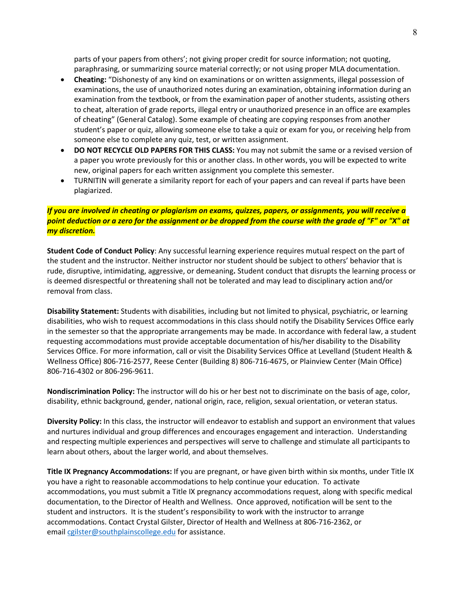parts of your papers from others'; not giving proper credit for source information; not quoting, paraphrasing, or summarizing source material correctly; or not using proper MLA documentation.

- **Cheating:** "Dishonesty of any kind on examinations or on written assignments, illegal possession of examinations, the use of unauthorized notes during an examination, obtaining information during an examination from the textbook, or from the examination paper of another students, assisting others to cheat, alteration of grade reports, illegal entry or unauthorized presence in an office are examples of cheating" (General Catalog). Some example of cheating are copying responses from another student's paper or quiz, allowing someone else to take a quiz or exam for you, or receiving help from someone else to complete any quiz, test, or written assignment.
- **DO NOT RECYCLE OLD PAPERS FOR THIS CLASS:** You may not submit the same or a revised version of a paper you wrote previously for this or another class. In other words, you will be expected to write new, original papers for each written assignment you complete this semester.
- TURNITIN will generate a similarity report for each of your papers and can reveal if parts have been plagiarized.

#### *If you are involved in cheating or plagiarism on exams, quizzes, papers, or assignments, you will receive a point deduction or a zero for the assignment or be dropped from the course with the grade of "F" or "X" at my discretion.*

**Student Code of Conduct Policy**: Any successful learning experience requires mutual respect on the part of the student and the instructor. Neither instructor nor student should be subject to others' behavior that is rude, disruptive, intimidating, aggressive, or demeaning**.** Student conduct that disrupts the learning process or is deemed disrespectful or threatening shall not be tolerated and may lead to disciplinary action and/or removal from class.

**Disability Statement:** Students with disabilities, including but not limited to physical, psychiatric, or learning disabilities, who wish to request accommodations in this class should notify the Disability Services Office early in the semester so that the appropriate arrangements may be made. In accordance with federal law, a student requesting accommodations must provide acceptable documentation of his/her disability to the Disability Services Office. For more information, call or visit the Disability Services Office at Levelland (Student Health & Wellness Office) 806-716-2577, Reese Center (Building 8) 806-716-4675, or Plainview Center (Main Office) 806-716-4302 or 806-296-9611.

**Nondiscrimination Policy:** The instructor will do his or her best not to discriminate on the basis of age, color, disability, ethnic background, gender, national origin, race, religion, sexual orientation, or veteran status.

**Diversity Policy:** In this class, the instructor will endeavor to establish and support an environment that values and nurtures individual and group differences and encourages engagement and interaction. Understanding and respecting multiple experiences and perspectives will serve to challenge and stimulate all participants to learn about others, about the larger world, and about themselves.

**Title IX Pregnancy Accommodations:** If you are pregnant, or have given birth within six months, under Title IX you have a right to reasonable accommodations to help continue your education. To activate accommodations, you must submit a Title IX pregnancy accommodations request, along with specific medical documentation, to the Director of Health and Wellness. Once approved, notification will be sent to the student and instructors. It is the student's responsibility to work with the instructor to arrange accommodations. Contact Crystal Gilster, Director of Health and Wellness at 806-716-2362, or email [cgilster@southplainscollege.edu](mailto:cgilster@southplainscollege.edu) for assistance.